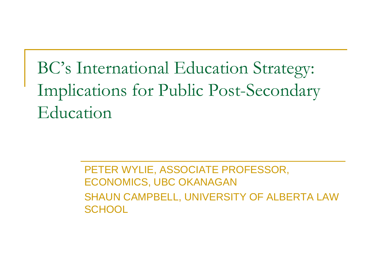## BC's International Education Strategy: Implications for Public Post-Secondary Education

PETER WYLIE, ASSOCIATE PROFESSOR, ECONOMICS, UBC OKANAGAN SHAUN CAMPBELL, UNIVERSITY OF ALBERTA LAW **SCHOOL**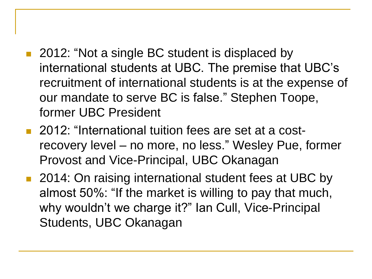- 2012: "Not a single BC student is displaced by international students at UBC. The premise that UBC's recruitment of international students is at the expense of our mandate to serve BC is false." Stephen Toope, former UBC President
- 2012: "International tuition fees are set at a costrecovery level – no more, no less." Wesley Pue, former Provost and Vice-Principal, UBC Okanagan
- 2014: On raising international student fees at UBC by almost 50%: "If the market is willing to pay that much, why wouldn't we charge it?" Ian Cull, Vice-Principal Students, UBC Okanagan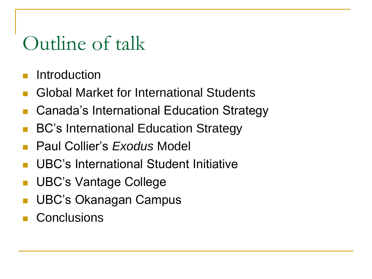## Outline of talk

- Introduction
- Global Market for International Students
- Canada's International Education Strategy
- BC's International Education Strategy
- Paul Collier's *Exodus* Model
- UBC's International Student Initiative
- UBC's Vantage College
- UBC's Okanagan Campus
- **Conclusions**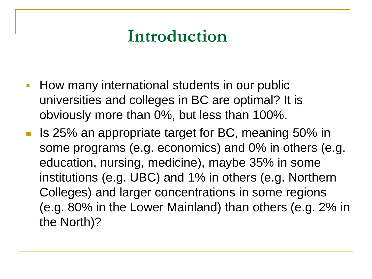## **Introduction**

- **How many international students in our public** universities and colleges in BC are optimal? It is obviously more than 0%, but less than 100%.
- Is 25% an appropriate target for BC, meaning 50% in some programs (e.g. economics) and 0% in others (e.g. education, nursing, medicine), maybe 35% in some institutions (e.g. UBC) and 1% in others (e.g. Northern Colleges) and larger concentrations in some regions (e.g. 80% in the Lower Mainland) than others (e.g. 2% in the North)?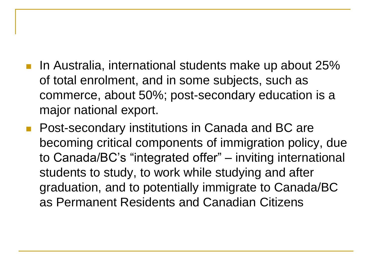- In Australia, international students make up about 25% of total enrolment, and in some subjects, such as commerce, about 50%; post-secondary education is a major national export.
- **Post-secondary institutions in Canada and BC are** becoming critical components of immigration policy, due to Canada/BC's "integrated offer" – inviting international students to study, to work while studying and after graduation, and to potentially immigrate to Canada/BC as Permanent Residents and Canadian Citizens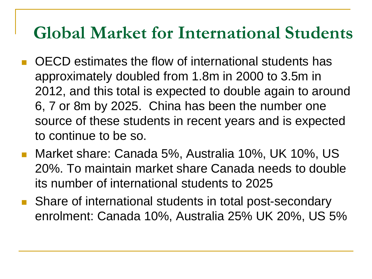### **Global Market for International Students**

- OECD estimates the flow of international students has approximately doubled from 1.8m in 2000 to 3.5m in 2012, and this total is expected to double again to around 6, 7 or 8m by 2025. China has been the number one source of these students in recent years and is expected to continue to be so.
- Market share: Canada 5%, Australia 10%, UK 10%, US 20%. To maintain market share Canada needs to double its number of international students to 2025
- **Share of international students in total post-secondary** enrolment: Canada 10%, Australia 25% UK 20%, US 5%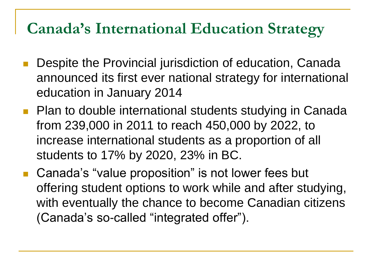### **Canada's International Education Strategy**

- Despite the Provincial jurisdiction of education, Canada announced its first ever national strategy for international education in January 2014
- **Plan to double international students studying in Canada** from 239,000 in 2011 to reach 450,000 by 2022, to increase international students as a proportion of all students to 17% by 2020, 23% in BC.
- Canada's "value proposition" is not lower fees but offering student options to work while and after studying, with eventually the chance to become Canadian citizens (Canada's so-called "integrated offer").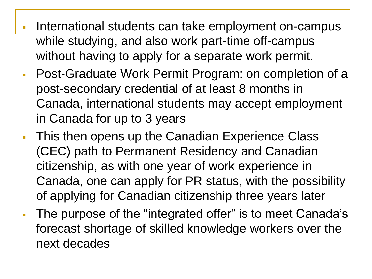- International students can take employment on-campus while studying, and also work part-time off-campus without having to apply for a separate work permit.
- Post-Graduate Work Permit Program: on completion of a post-secondary credential of at least 8 months in Canada, international students may accept employment in Canada for up to 3 years
- **This then opens up the Canadian Experience Class** (CEC) path to Permanent Residency and Canadian citizenship, as with one year of work experience in Canada, one can apply for PR status, with the possibility of applying for Canadian citizenship three years later
- The purpose of the "integrated offer" is to meet Canada's forecast shortage of skilled knowledge workers over the next decades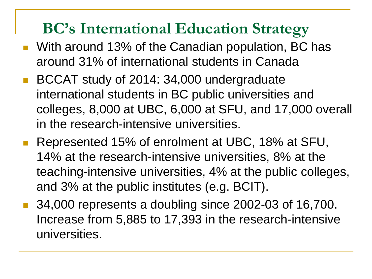### **BC's International Education Strategy**

- **Nuth around 13% of the Canadian population, BC has** around 31% of international students in Canada
- BCCAT study of 2014: 34,000 undergraduate international students in BC public universities and colleges, 8,000 at UBC, 6,000 at SFU, and 17,000 overall in the research-intensive universities.
- Represented 15% of enrolment at UBC, 18% at SFU, 14% at the research-intensive universities, 8% at the teaching-intensive universities, 4% at the public colleges, and 3% at the public institutes (e.g. BCIT).
- 34,000 represents a doubling since 2002-03 of 16,700. Increase from 5,885 to 17,393 in the research-intensive universities.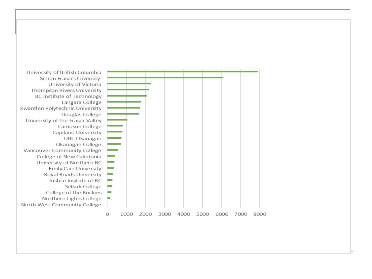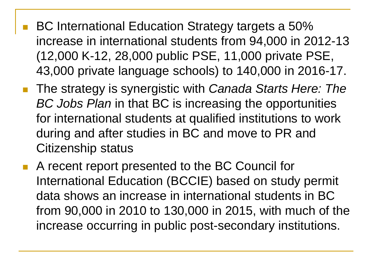- BC International Education Strategy targets a 50% increase in international students from 94,000 in 2012-13 (12,000 K-12, 28,000 public PSE, 11,000 private PSE, 43,000 private language schools) to 140,000 in 2016-17.
- The strategy is synergistic with *Canada Starts Here: The BC Jobs Plan* in that BC is increasing the opportunities for international students at qualified institutions to work during and after studies in BC and move to PR and Citizenship status
- A recent report presented to the BC Council for International Education (BCCIE) based on study permit data shows an increase in international students in BC from 90,000 in 2010 to 130,000 in 2015, with much of the increase occurring in public post-secondary institutions.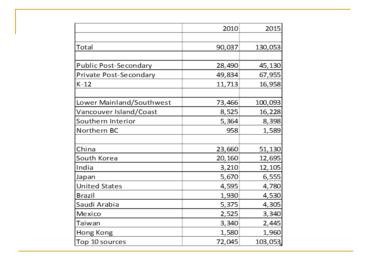|                          | 2010   | 2015    |
|--------------------------|--------|---------|
|                          |        |         |
| Total                    | 90,037 | 130,053 |
|                          |        |         |
| Public Post-Secondary    | 28,490 | 45,130  |
| Private Post-Secondary   | 49,834 | 67,955  |
| $K-12$                   | 11,713 | 16,958  |
|                          |        |         |
| Lower Mainland/Southwest | 73,466 | 100,093 |
| Vancouver Island/Coast   | 8,525  | 16,228  |
| Southern Interior        | 5,364  | 8,398   |
| Northern BC              | 958    | 1,589   |
|                          |        |         |
| China                    | 23,660 | 51,130  |
| South Korea              | 20,160 | 12,695  |
| India                    | 3,210  | 12,105  |
| Japan                    | 5,670  | 6,555   |
| <b>United States</b>     | 4,595  | 4,780   |
| <b>Brazil</b>            | 1,930  | 4,530   |
| Saudi Arabia             | 5,375  | 4,305   |
| Mexico                   | 2,525  | 3,340   |
| Taiwan                   | 3,340  | 2,445   |
| Hong Kong                | 1,580  | 1,960   |
| Top 10 sources           | 72,045 | 103,053 |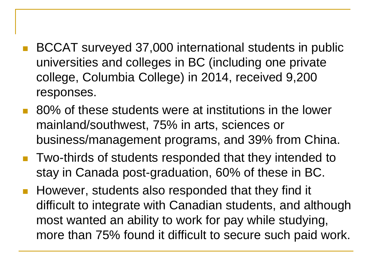- BCCAT surveyed 37,000 international students in public universities and colleges in BC (including one private college, Columbia College) in 2014, received 9,200 responses.
- 80% of these students were at institutions in the lower mainland/southwest, 75% in arts, sciences or business/management programs, and 39% from China.
- **Two-thirds of students responded that they intended to** stay in Canada post-graduation, 60% of these in BC.
- **However, students also responded that they find it** difficult to integrate with Canadian students, and although most wanted an ability to work for pay while studying, more than 75% found it difficult to secure such paid work.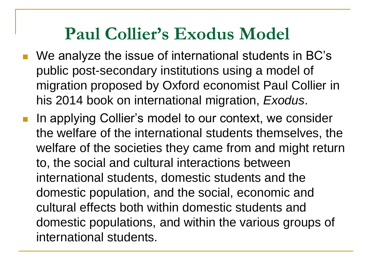## **Paul Collier's Exodus Model**

- We analyze the issue of international students in BC's public post-secondary institutions using a model of migration proposed by Oxford economist Paul Collier in his 2014 book on international migration, *Exodus*.
- In applying Collier's model to our context, we consider the welfare of the international students themselves, the welfare of the societies they came from and might return to, the social and cultural interactions between international students, domestic students and the domestic population, and the social, economic and cultural effects both within domestic students and domestic populations, and within the various groups of international students.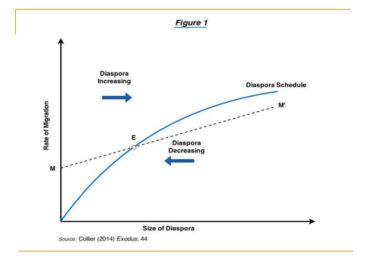#### **Figure 1**

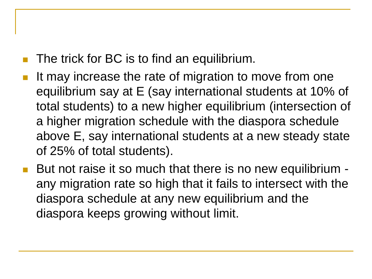- The trick for BC is to find an equilibrium.
- It may increase the rate of migration to move from one equilibrium say at E (say international students at 10% of total students) to a new higher equilibrium (intersection of a higher migration schedule with the diaspora schedule above E, say international students at a new steady state of 25% of total students).
- But not raise it so much that there is no new equilibrium any migration rate so high that it fails to intersect with the diaspora schedule at any new equilibrium and the diaspora keeps growing without limit.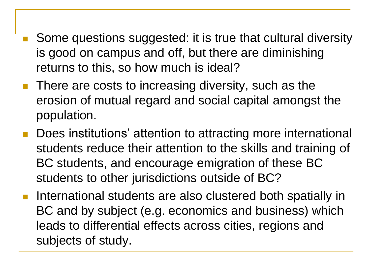- Some questions suggested: it is true that cultural diversity is good on campus and off, but there are diminishing returns to this, so how much is ideal?
- **There are costs to increasing diversity, such as the** erosion of mutual regard and social capital amongst the population.
- Does institutions' attention to attracting more international students reduce their attention to the skills and training of BC students, and encourage emigration of these BC students to other jurisdictions outside of BC?
- **International students are also clustered both spatially in** BC and by subject (e.g. economics and business) which leads to differential effects across cities, regions and subjects of study.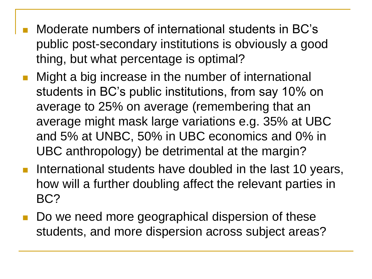- Moderate numbers of international students in BC's public post-secondary institutions is obviously a good thing, but what percentage is optimal?
- Might a big increase in the number of international students in BC's public institutions, from say 10% on average to 25% on average (remembering that an average might mask large variations e.g. 35% at UBC and 5% at UNBC, 50% in UBC economics and 0% in UBC anthropology) be detrimental at the margin?
- **International students have doubled in the last 10 years,** how will a further doubling affect the relevant parties in BC?
- Do we need more geographical dispersion of these students, and more dispersion across subject areas?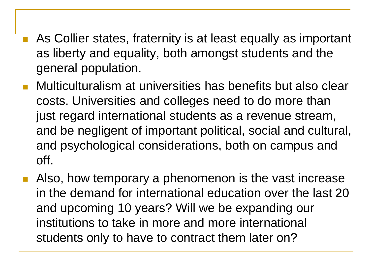- As Collier states, fraternity is at least equally as important as liberty and equality, both amongst students and the general population.
- Multiculturalism at universities has benefits but also clear costs. Universities and colleges need to do more than just regard international students as a revenue stream, and be negligent of important political, social and cultural, and psychological considerations, both on campus and off.
- Also, how temporary a phenomenon is the vast increase in the demand for international education over the last 20 and upcoming 10 years? Will we be expanding our institutions to take in more and more international students only to have to contract them later on?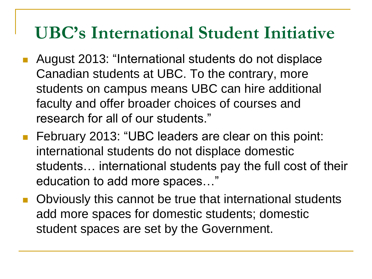- August 2013: "International students do not displace Canadian students at UBC. To the contrary, more students on campus means UBC can hire additional faculty and offer broader choices of courses and research for all of our students."
- **February 2013: "UBC leaders are clear on this point:** international students do not displace domestic students… international students pay the full cost of their education to add more spaces…"
- **Diag-Combuso Company that Company in Sum Theory Company Company Company Company Company Company Company Company Company Company Company Company Company Company Company Company Company Company Company Company Company Compa** add more spaces for domestic students; domestic student spaces are set by the Government.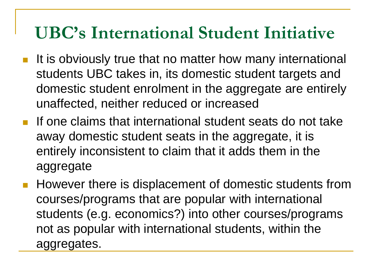- It is obviously true that no matter how many international students UBC takes in, its domestic student targets and domestic student enrolment in the aggregate are entirely unaffected, neither reduced or increased
- **If one claims that international student seats do not take** away domestic student seats in the aggregate, it is entirely inconsistent to claim that it adds them in the aggregate
- **However there is displacement of domestic students from** courses/programs that are popular with international students (e.g. economics?) into other courses/programs not as popular with international students, within the aggregates.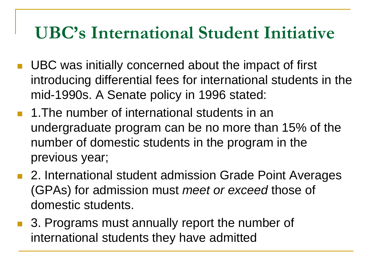- **UBC** was initially concerned about the impact of first introducing differential fees for international students in the mid-1990s. A Senate policy in 1996 stated:
- **1. The number of international students in an** undergraduate program can be no more than 15% of the number of domestic students in the program in the previous year;
- 2. International student admission Grade Point Averages (GPAs) for admission must *meet or exceed* those of domestic students.
- 3. Programs must annually report the number of international students they have admitted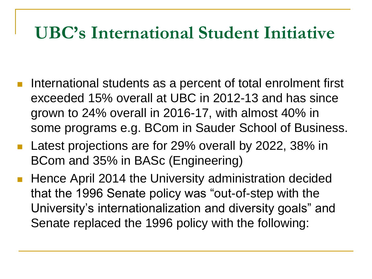- International students as a percent of total enrolment first exceeded 15% overall at UBC in 2012-13 and has since grown to 24% overall in 2016-17, with almost 40% in some programs e.g. BCom in Sauder School of Business.
- Latest projections are for 29% overall by 2022, 38% in BCom and 35% in BASc (Engineering)
- **Hence April 2014 the University administration decided** that the 1996 Senate policy was "out-of-step with the University's internationalization and diversity goals" and Senate replaced the 1996 policy with the following: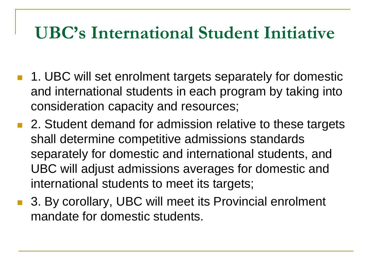- 1. UBC will set enrolment targets separately for domestic and international students in each program by taking into consideration capacity and resources;
- 2. Student demand for admission relative to these targets shall determine competitive admissions standards separately for domestic and international students, and UBC will adjust admissions averages for domestic and international students to meet its targets;
- 3. By corollary, UBC will meet its Provincial enrolment mandate for domestic students.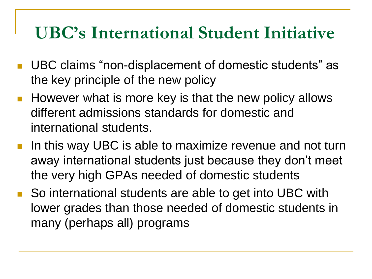- UBC claims "non-displacement of domestic students" as the key principle of the new policy
- **However what is more key is that the new policy allows** different admissions standards for domestic and international students.
- In this way UBC is able to maximize revenue and not turn away international students just because they don't meet the very high GPAs needed of domestic students
- So international students are able to get into UBC with lower grades than those needed of domestic students in many (perhaps all) programs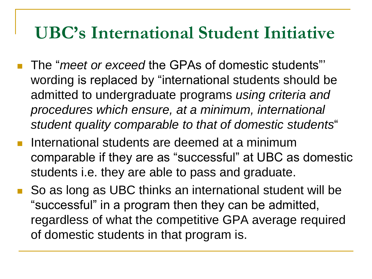- The "*meet or exceed* the GPAs of domestic students"' wording is replaced by "international students should be admitted to undergraduate programs *using criteria and procedures which ensure, at a minimum, international student quality comparable to that of domestic students*"
- **International students are deemed at a minimum** comparable if they are as "successful" at UBC as domestic students i.e. they are able to pass and graduate.
- So as long as UBC thinks an international student will be "successful" in a program then they can be admitted, regardless of what the competitive GPA average required of domestic students in that program is.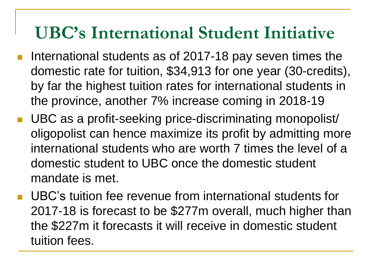- International students as of 2017-18 pay seven times the domestic rate for tuition, \$34,913 for one year (30-credits), by far the highest tuition rates for international students in the province, another 7% increase coming in 2018-19
- UBC as a profit-seeking price-discriminating monopolist/ oligopolist can hence maximize its profit by admitting more international students who are worth 7 times the level of a domestic student to UBC once the domestic student mandate is met.
- UBC's tuition fee revenue from international students for 2017-18 is forecast to be \$277m overall, much higher than the \$227m it forecasts it will receive in domestic student tuition fees.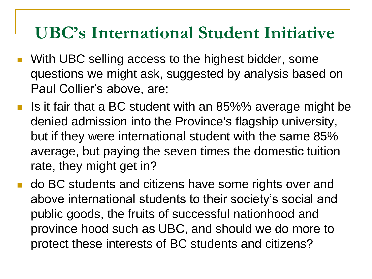- With UBC selling access to the highest bidder, some questions we might ask, suggested by analysis based on Paul Collier's above, are;
- Is it fair that a BC student with an 85%% average might be denied admission into the Province's flagship university, but if they were international student with the same 85% average, but paying the seven times the domestic tuition rate, they might get in?
- **do BC students and citizens have some rights over and** above international students to their society's social and public goods, the fruits of successful nationhood and province hood such as UBC, and should we do more to protect these interests of BC students and citizens?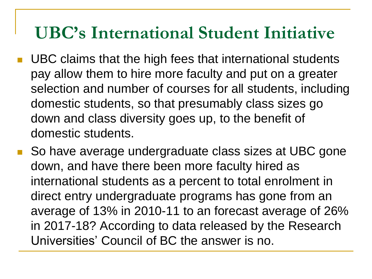- UBC claims that the high fees that international students pay allow them to hire more faculty and put on a greater selection and number of courses for all students, including domestic students, so that presumably class sizes go down and class diversity goes up, to the benefit of domestic students.
- So have average undergraduate class sizes at UBC gone down, and have there been more faculty hired as international students as a percent to total enrolment in direct entry undergraduate programs has gone from an average of 13% in 2010-11 to an forecast average of 26% in 2017-18? According to data released by the Research Universities' Council of BC the answer is no.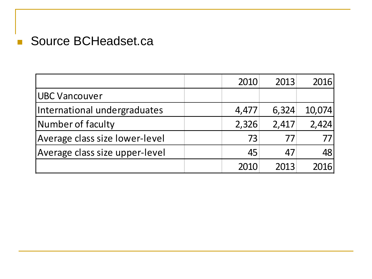### Source BCHeadset.ca

|                                | 2010  | 2013  | 2016   |
|--------------------------------|-------|-------|--------|
| UBC Vancouver                  |       |       |        |
| International undergraduates   | 4,477 | 6,324 | 10,074 |
| Number of faculty              | 2,326 | 2,417 | 2,424  |
| Average class size lower-level | 73    | 77    |        |
| Average class size upper-level | 45    | 47    | 48     |
|                                | 2010  | 2013  | 2016   |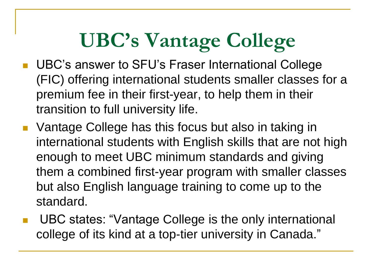# **UBC's Vantage College**

- **UBC's answer to SFU's Fraser International College** (FIC) offering international students smaller classes for a premium fee in their first-year, to help them in their transition to full university life.
- **Vantage College has this focus but also in taking in** international students with English skills that are not high enough to meet UBC minimum standards and giving them a combined first-year program with smaller classes but also English language training to come up to the standard.
- UBC states: "Vantage College is the only international college of its kind at a top-tier university in Canada."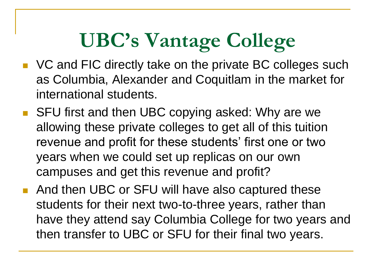# **UBC's Vantage College**

- VC and FIC directly take on the private BC colleges such as Columbia, Alexander and Coquitlam in the market for international students.
- SFU first and then UBC copying asked: Why are we allowing these private colleges to get all of this tuition revenue and profit for these students' first one or two years when we could set up replicas on our own campuses and get this revenue and profit?
- And then UBC or SFU will have also captured these students for their next two-to-three years, rather than have they attend say Columbia College for two years and then transfer to UBC or SFU for their final two years.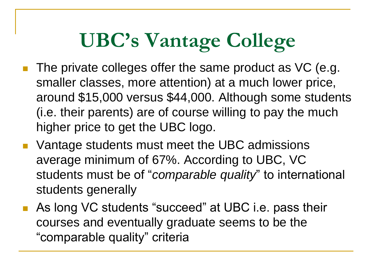# **UBC's Vantage College**

- The private colleges offer the same product as VC (e.g. smaller classes, more attention) at a much lower price, around \$15,000 versus \$44,000. Although some students (i.e. their parents) are of course willing to pay the much higher price to get the UBC logo.
- **Number 1** Vantage students must meet the UBC admissions average minimum of 67%. According to UBC, VC students must be of "*comparable quality*" to international students generally
- As long VC students "succeed" at UBC i.e. pass their courses and eventually graduate seems to be the "comparable quality" criteria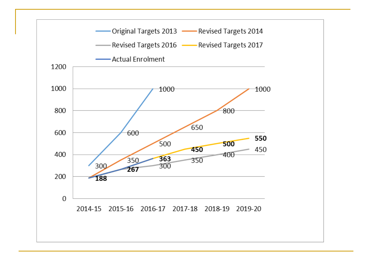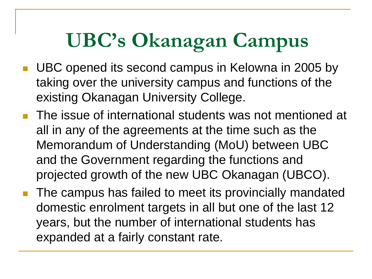- UBC opened its second campus in Kelowna in 2005 by taking over the university campus and functions of the existing Okanagan University College.
- **The issue of international students was not mentioned at** all in any of the agreements at the time such as the Memorandum of Understanding (MoU) between UBC and the Government regarding the functions and projected growth of the new UBC Okanagan (UBCO).
- The campus has failed to meet its provincially mandated domestic enrolment targets in all but one of the last 12 years, but the number of international students has expanded at a fairly constant rate.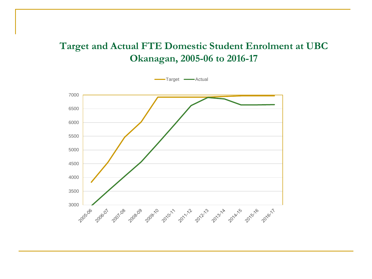#### **Target and Actual FTE Domestic Student Enrolment at UBC Okanagan, 2005-06 to 2016-17**

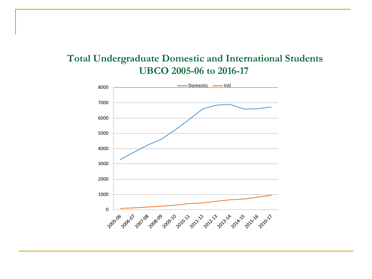#### **Total Undergraduate Domestic and International Students UBCO 2005-06 to 2016-17**

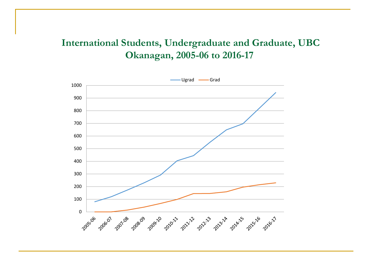#### **International Students, Undergraduate and Graduate, UBC Okanagan, 2005-06 to 2016-17**

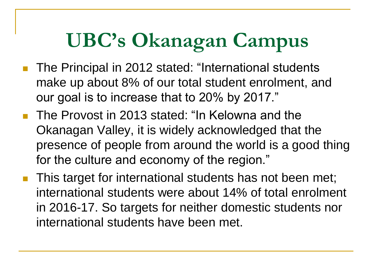- The Principal in 2012 stated: "International students make up about 8% of our total student enrolment, and our goal is to increase that to 20% by 2017."
- The Provost in 2013 stated: "In Kelowna and the Okanagan Valley, it is widely acknowledged that the presence of people from around the world is a good thing for the culture and economy of the region."
- This target for international students has not been met; international students were about 14% of total enrolment in 2016-17. So targets for neither domestic students nor international students have been met.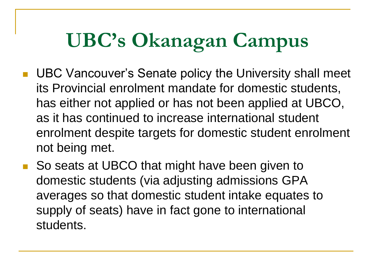- UBC Vancouver's Senate policy the University shall meet its Provincial enrolment mandate for domestic students, has either not applied or has not been applied at UBCO, as it has continued to increase international student enrolment despite targets for domestic student enrolment not being met.
- So seats at UBCO that might have been given to domestic students (via adjusting admissions GPA averages so that domestic student intake equates to supply of seats) have in fact gone to international students.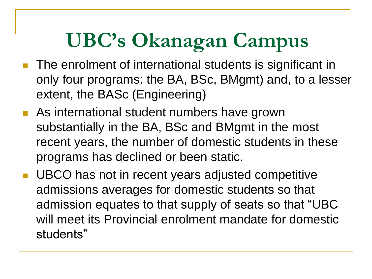- **The enrolment of international students is significant in** only four programs: the BA, BSc, BMgmt) and, to a lesser extent, the BASc (Engineering)
- **As international student numbers have grown** substantially in the BA, BSc and BMgmt in the most recent years, the number of domestic students in these programs has declined or been static.
- UBCO has not in recent years adjusted competitive admissions averages for domestic students so that admission equates to that supply of seats so that "UBC will meet its Provincial enrolment mandate for domestic students"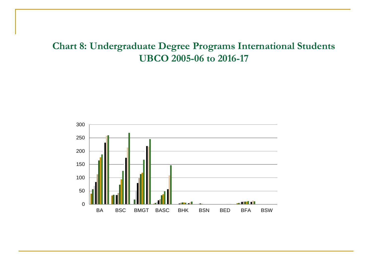#### **Chart 8: Undergraduate Degree Programs International Students UBCO 2005-06 to 2016-17**

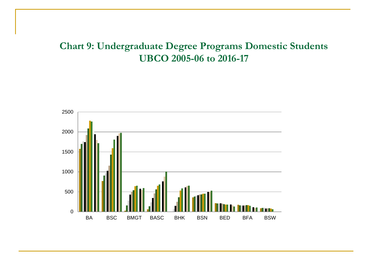#### **Chart 9: Undergraduate Degree Programs Domestic Students UBCO 2005-06 to 2016-17**

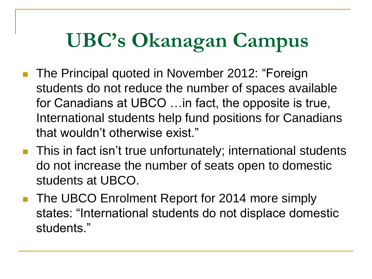- The Principal quoted in November 2012: "Foreign students do not reduce the number of spaces available for Canadians at UBCO …in fact, the opposite is true, International students help fund positions for Canadians that wouldn't otherwise exist."
- **This in fact isn't true unfortunately; international students** do not increase the number of seats open to domestic students at UBCO.
- **The UBCO Enrolment Report for 2014 more simply** states: "International students do not displace domestic students."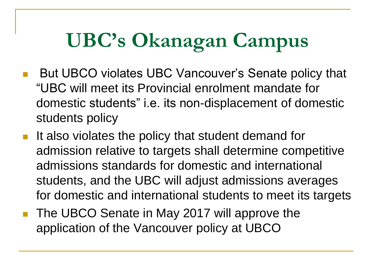- But UBCO violates UBC Vancouver's Senate policy that "UBC will meet its Provincial enrolment mandate for domestic students" i.e. its non-displacement of domestic students policy
- $\blacksquare$  It also violates the policy that student demand for admission relative to targets shall determine competitive admissions standards for domestic and international students, and the UBC will adjust admissions averages for domestic and international students to meet its targets
- The UBCO Senate in May 2017 will approve the application of the Vancouver policy at UBCO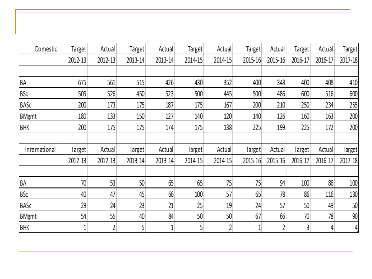| Domestic      | Target  | Actual  | Target  | Actual  | Target         | Actual  | Target  | Actual  | Target  | Actual  | Target  |
|---------------|---------|---------|---------|---------|----------------|---------|---------|---------|---------|---------|---------|
|               | 2012-13 | 2012-13 | 2013-14 | 2013-14 | 2014-15        | 2014-15 | 2015-16 | 2015-16 | 2016-17 | 2016-17 | 2017-18 |
|               |         |         |         |         |                |         |         |         |         |         |         |
| ΒA            | 675     | 561     | 515     | 426     | 430            | 352     | 400     | 343     | 400     | 408     | 410     |
| BSc           | 505     | 526     | 450     | 523     | 500            | 445     | 500     | 486     | 600     | 516     | 600     |
| BASc          | 200     | 173     | 175     | 187     | 175            | 167     | 200     | 210     | 250     | 234     | 255     |
| <b>BMgmt</b>  | 180     | 133     | 150     | 127     | 140            | 120     | 140     | 126     | 160     | 163     | 200     |
| <b>BHK</b>    | 200     | 175     | 175     | 174     | 175            | 138     | 225     | 199     | 225     | 172     | 200     |
|               |         |         |         |         |                |         |         |         |         |         |         |
| Inrernational | Target  | Actual  | Target  | Actual  | Target         | Actual  | Target  | Actual  | Target  | Actual  | Target  |
|               | 2012-13 | 2012-13 | 2013-14 | 2013-14 | 2014-15        | 2014-15 | 2015-16 | 2015-16 | 2016-17 | 2016-17 | 2017-18 |
|               |         |         |         |         |                |         |         |         |         |         |         |
| BA            | 70      | 53      | 50      | 65      | 65             | 75      | 75      | 94      | 100     | 86      | 100     |
| <b>BSc</b>    | 40      | 47      | 45      | 66      | 100            | 57      | 65      | 78      | 86      | 116     | 130     |
| BASc          | 29      | 24      | 23      | 21      | 25             | 19      | 24      | 57      | 50      | 49      | 50      |
| <b>BMgmt</b>  | 54      | 55      | 40      | 84      | 50             | 50      | 67      | 66      | 70      | 78      | 90      |
| <b>BHK</b>    | 1       | 2       | 5       |         | 5 <sub>l</sub> | 2       |         | 2       | 3       | 4       | 4.      |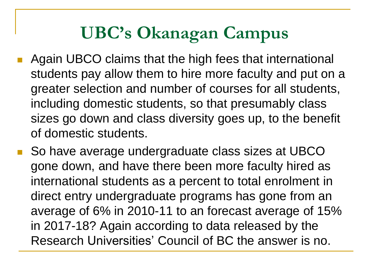- Again UBCO claims that the high fees that international students pay allow them to hire more faculty and put on a greater selection and number of courses for all students, including domestic students, so that presumably class sizes go down and class diversity goes up, to the benefit of domestic students.
- So have average undergraduate class sizes at UBCO gone down, and have there been more faculty hired as international students as a percent to total enrolment in direct entry undergraduate programs has gone from an average of 6% in 2010-11 to an forecast average of 15% in 2017-18? Again according to data released by the Research Universities' Council of BC the answer is no.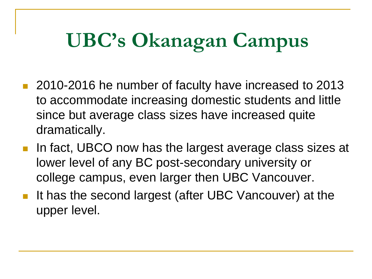- 2010-2016 he number of faculty have increased to 2013 to accommodate increasing domestic students and little since but average class sizes have increased quite dramatically.
- In fact, UBCO now has the largest average class sizes at lower level of any BC post-secondary university or college campus, even larger then UBC Vancouver.
- It has the second largest (after UBC Vancouver) at the upper level.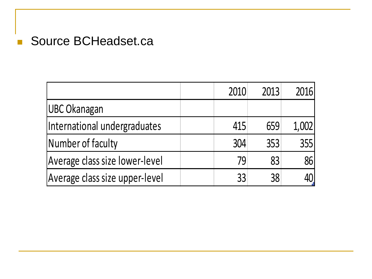### Source BCHeadset.ca

|                                | 2010 | 2013 | 2016  |
|--------------------------------|------|------|-------|
| <b>UBC Okanagan</b>            |      |      |       |
| International undergraduates   | 415  | 659  | 1,002 |
| Number of faculty              | 304  | 353  | 355   |
| Average class size lower-level | 79   | 83   | 86    |
| Average class size upper-level | 33   | 38   |       |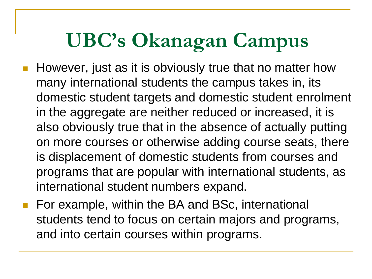- However, just as it is obviously true that no matter how many international students the campus takes in, its domestic student targets and domestic student enrolment in the aggregate are neither reduced or increased, it is also obviously true that in the absence of actually putting on more courses or otherwise adding course seats, there is displacement of domestic students from courses and programs that are popular with international students, as international student numbers expand.
- For example, within the BA and BSc, international students tend to focus on certain majors and programs, and into certain courses within programs.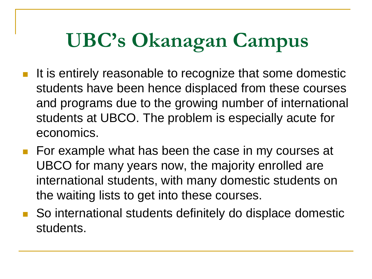- It is entirely reasonable to recognize that some domestic students have been hence displaced from these courses and programs due to the growing number of international students at UBCO. The problem is especially acute for economics.
- **For example what has been the case in my courses at** UBCO for many years now, the majority enrolled are international students, with many domestic students on the waiting lists to get into these courses.
- So international students definitely do displace domestic students.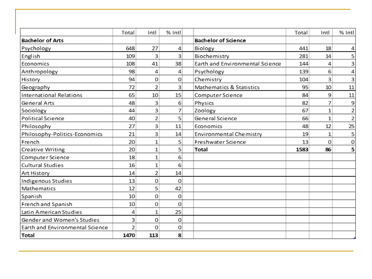|                                 | Total | Intl | % Intl |                                 | Total | Intl         | % Intl |
|---------------------------------|-------|------|--------|---------------------------------|-------|--------------|--------|
| <b>Bachelor of Arts</b>         |       |      |        | <b>Bachelor of Science</b>      |       |              |        |
| Psychology                      | 648   | 27   | 4      | Biology                         | 441   | 18           | 4      |
| English                         | 109   | 3    | 3      | Biochemistry                    | 281   | 14           | 5      |
| Economics                       | 108   | 41   | 38     | Earth and Environmental Science | 144   | 4            | 3      |
| Anthropology                    | 98    | 4    | 4      | Psychology                      | 139   | 6            | 4      |
| History                         | 94    | 0    | 0      | Chemistry                       | 104   | 3            | 3      |
| Geography                       | 72    | 2    | 3      | Mathematics & Statistics        | 95    | 10           | 11     |
| International Relations         | 65    | 10   | 15     | Computer Science                | 84    | 9            | 11     |
| General Arts                    | 48    | 3    | 6      | Physics                         | 82    | 7            | 9      |
| Sociology                       | 44    | 3    | 7      | Zoology                         | 67    | 1            | 2      |
| Political Science               | 40    | 2    | 5      | General Science                 | 66    | $\mathbf{1}$ | 2      |
| Philosophy                      | 27    | 3    | 11     | Economics                       | 48    | 12           | 25     |
| Philosophy-Politics-Economics   | 21    | 3    | 14     | Environmental Chemistry         | 19    | $\mathbf{1}$ | 5      |
| French                          | 20    | 1    | 5      | Freshwater Science              | 13    | 0            | 0      |
| Creative Writing                | 20    | 1    | 5      | <b>Total</b>                    | 1583  | 86           | 5      |
| Computer Science                | 18    | 1    | 6      |                                 |       |              |        |
| <b>Cultural Studies</b>         | 16    | 1    | 6      |                                 |       |              |        |
| Art History                     | 14    | 2    | 14     |                                 |       |              |        |
| Indigenous Studies              | 13    | 0    | 0      |                                 |       |              |        |
| Mathematics                     | 12    | 5    | 42     |                                 |       |              |        |
| Spanish                         | 10    | 0    | 0      |                                 |       |              |        |
| French and Spanish              | 10    | 0    | 0      |                                 |       |              |        |
| Latin American Studies          | 4     | 1    | 25     |                                 |       |              |        |
| Gender and Women's Studies      | 3     | 0    | 0      |                                 |       |              |        |
| Earth and Environmental Science | 2     | 0    | 0      |                                 |       |              |        |
| Total                           | 1470  | 113  | 8      |                                 |       |              |        |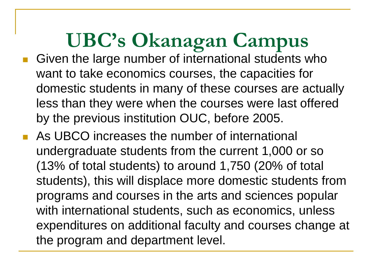- Given the large number of international students who want to take economics courses, the capacities for domestic students in many of these courses are actually less than they were when the courses were last offered by the previous institution OUC, before 2005.
- **As UBCO** increases the number of international undergraduate students from the current 1,000 or so (13% of total students) to around 1,750 (20% of total students), this will displace more domestic students from programs and courses in the arts and sciences popular with international students, such as economics, unless expenditures on additional faculty and courses change at the program and department level.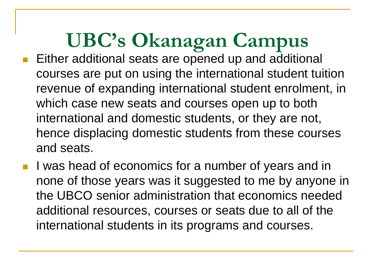- Either additional seats are opened up and additional courses are put on using the international student tuition revenue of expanding international student enrolment, in which case new seats and courses open up to both international and domestic students, or they are not, hence displacing domestic students from these courses and seats.
- **I** was head of economics for a number of years and in none of those years was it suggested to me by anyone in the UBCO senior administration that economics needed additional resources, courses or seats due to all of the international students in its programs and courses.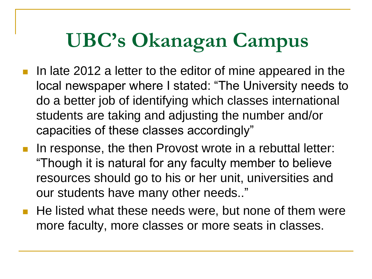- In late 2012 a letter to the editor of mine appeared in the local newspaper where I stated: "The University needs to do a better job of identifying which classes international students are taking and adjusting the number and/or capacities of these classes accordingly"
- In response, the then Provost wrote in a rebuttal letter: "Though it is natural for any faculty member to believe resources should go to his or her unit, universities and our students have many other needs.."
- He listed what these needs were, but none of them were more faculty, more classes or more seats in classes.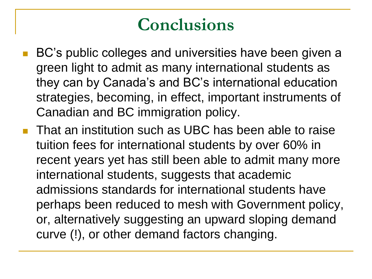## **Conclusions**

- BC's public colleges and universities have been given a green light to admit as many international students as they can by Canada's and BC's international education strategies, becoming, in effect, important instruments of Canadian and BC immigration policy.
- **That an institution such as UBC has been able to raise** tuition fees for international students by over 60% in recent years yet has still been able to admit many more international students, suggests that academic admissions standards for international students have perhaps been reduced to mesh with Government policy, or, alternatively suggesting an upward sloping demand curve (!), or other demand factors changing.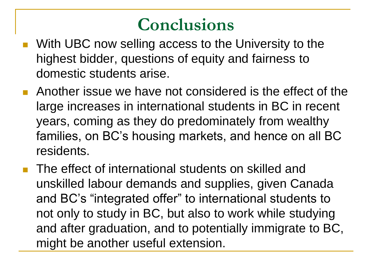### **Conclusions**

- With UBC now selling access to the University to the highest bidder, questions of equity and fairness to domestic students arise.
- **Another issue we have not considered is the effect of the** large increases in international students in BC in recent years, coming as they do predominately from wealthy families, on BC's housing markets, and hence on all BC residents.
- **The effect of international students on skilled and** unskilled labour demands and supplies, given Canada and BC's "integrated offer" to international students to not only to study in BC, but also to work while studying and after graduation, and to potentially immigrate to BC, might be another useful extension.